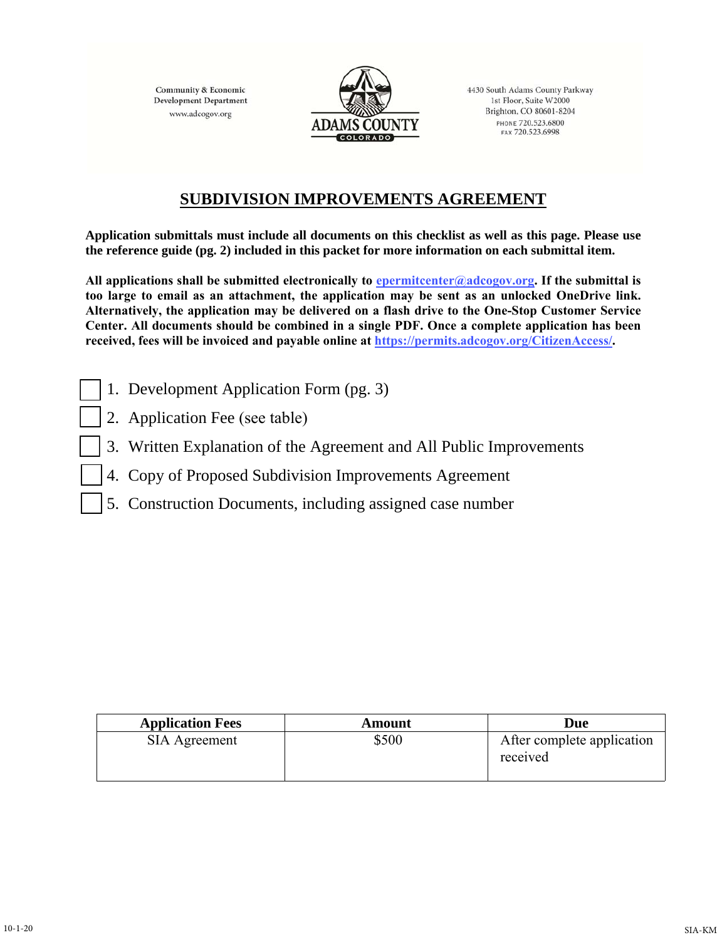**Community & Economic Development Department** www.adcogov.org



4430 South Adams County Parkway 1st Floor, Suite W2000 Brighton, CO 80601-8204 PHONE 720.523.6800 FAX 720.523.6998

## **SUBDIVISION IMPROVEMENTS AGREEMENT**

**Application submittals must include all documents on this checklist as well as this page. Please use the reference guide (pg. 2) included in this packet for more information on each submittal item.** 

**All applications shall be submitted electronically to epermitcenter@adcogov.org. If the submittal is too large to email as an attachment, the application may be sent as an unlocked OneDrive link. Alternatively, the application may be delivered on a flash drive to the One-Stop Customer Service Center. All documents should be combined in a single PDF. Once a complete application has been received, fees will be invoiced and payable online at https://permits.adcogov.org/CitizenAccess/.** 

- 1. Development Application Form (pg. 3)
- 2. Application Fee (see table)
- 3. Written Explanation of the Agreement and All Public Improvements
- 4. Copy of Proposed Subdivision Improvements Agreement
- 5. Construction Documents, including assigned case number

| <b>Application Fees</b> | Amount | Due                                    |
|-------------------------|--------|----------------------------------------|
| SIA Agreement           | \$500  | After complete application<br>received |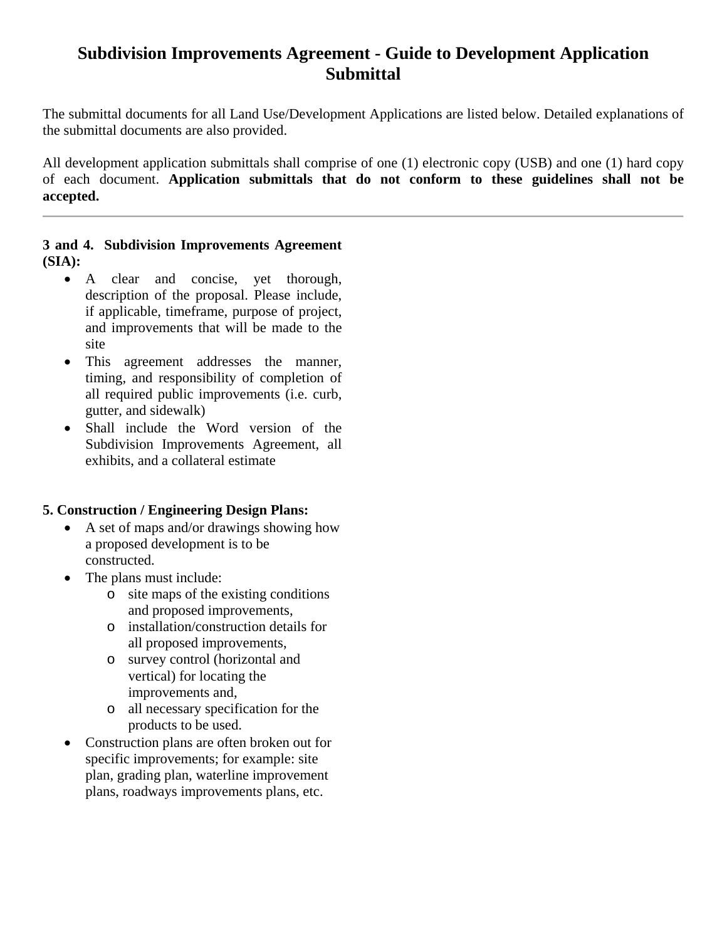## **Subdivision Improvements Agreement - Guide to Development Application Submittal**

The submittal documents for all Land Use/Development Applications are listed below. Detailed explanations of the submittal documents are also provided.

All development application submittals shall comprise of one (1) electronic copy (USB) and one (1) hard copy of each document. **Application submittals that do not conform to these guidelines shall not be accepted.** 

#### **3 and 4. Subdivision Improvements Agreement (SIA):**

- A clear and concise, yet thorough, description of the proposal. Please include, if applicable, timeframe, purpose of project, and improvements that will be made to the site
- This agreement addresses the manner, timing, and responsibility of completion of all required public improvements (i.e. curb, gutter, and sidewalk)
- Shall include the Word version of the Subdivision Improvements Agreement, all exhibits, and a collateral estimate

#### **5. Construction / Engineering Design Plans:**

- A set of maps and/or drawings showing how a proposed development is to be constructed.
- The plans must include:
	- o site maps of the existing conditions and proposed improvements,
	- o installation/construction details for all proposed improvements,
	- o survey control (horizontal and vertical) for locating the improvements and,
	- o all necessary specification for the products to be used.
- Construction plans are often broken out for specific improvements; for example: site plan, grading plan, waterline improvement plans, roadways improvements plans, etc.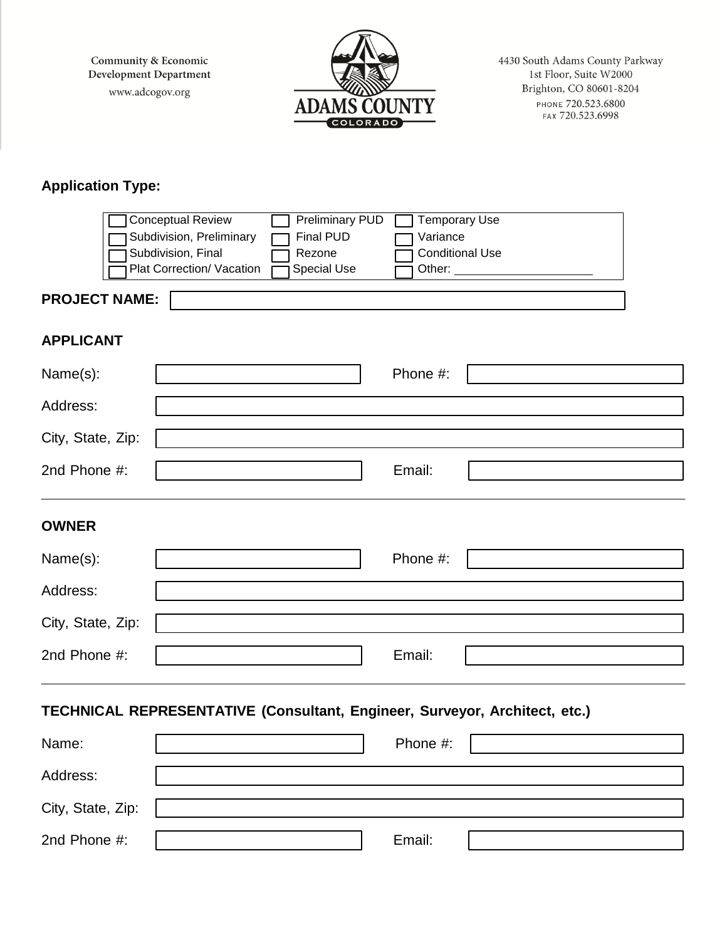Community & Economic Development Department www.adcogov.org



4430 South Adams County Parkway 1st Floor, Suite W2000 Brighton, CO 80601-8204 PHONE 720.523.6800

# **Application Type:**

|                                                                            | <b>Conceptual Review</b>  | <b>Preliminary PUD</b> | <b>Temporary Use</b>   |  |  |  |
|----------------------------------------------------------------------------|---------------------------|------------------------|------------------------|--|--|--|
|                                                                            | Subdivision, Preliminary  | <b>Final PUD</b>       | Variance               |  |  |  |
|                                                                            | Subdivision, Final        | Rezone                 | <b>Conditional Use</b> |  |  |  |
|                                                                            | Plat Correction/ Vacation | Special Use            | Other:                 |  |  |  |
| <b>PROJECT NAME:</b>                                                       |                           |                        |                        |  |  |  |
| <b>APPLICANT</b>                                                           |                           |                        |                        |  |  |  |
| Name(s):                                                                   |                           |                        | Phone #:               |  |  |  |
| Address:                                                                   |                           |                        |                        |  |  |  |
| City, State, Zip:                                                          |                           |                        |                        |  |  |  |
| 2nd Phone #:                                                               |                           |                        | Email:                 |  |  |  |
| <b>OWNER</b>                                                               |                           |                        |                        |  |  |  |
| Name(s):                                                                   |                           |                        | Phone #:               |  |  |  |
| Address:                                                                   |                           |                        |                        |  |  |  |
| City, State, Zip:                                                          |                           |                        |                        |  |  |  |
| 2nd Phone #:                                                               |                           |                        | Email:                 |  |  |  |
| TECHNICAL REPRESENTATIVE (Consultant, Engineer, Surveyor, Architect, etc.) |                           |                        |                        |  |  |  |
| Name:                                                                      |                           |                        | Phone #:               |  |  |  |
| Address:                                                                   |                           |                        |                        |  |  |  |
| City, State, Zip:                                                          |                           |                        |                        |  |  |  |
| 2nd Phone #:                                                               |                           |                        | Email:                 |  |  |  |
|                                                                            |                           |                        |                        |  |  |  |